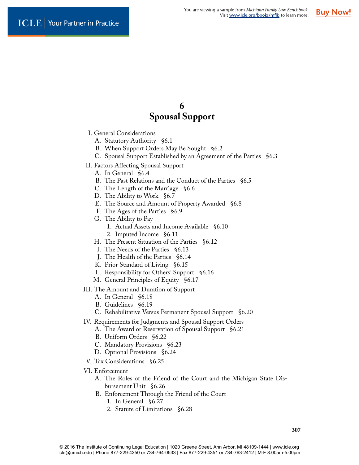# **6 Spousal Support**

- I. General Considerations
	- A. Statutory Authority §6.1
	- B. When Support Orders May Be Sought §6.2
	- C. Spousal Support Established by an Agreement of the Parties §6.3
- II. Factors Affecting Spousal Support
	- A. In General §6.4
	- B. The Past Relations and the Conduct of the Parties §6.5
	- C. The Length of the Marriage §6.6
	- D. The Ability to Work §6.7
	- E. The Source and Amount of Property Awarded §6.8
	- F. The Ages of the Parties §6.9
	- G. The Ability to Pay
		- 1. Actual Assets and Income Available §6.10
		- 2. Imputed Income §6.11
	- H. The Present Situation of the Parties §6.12
	- I. The Needs of the Parties §6.13
	- J. The Health of the Parties §6.14
	- K. Prior Standard of Living §6.15
	- L. Responsibility for Others' Support §6.16
	- M. General Principles of Equity §6.17
- III. The Amount and Duration of Support
	- A. In General §6.18
	- B. Guidelines §6.19
	- C. Rehabilitative Versus Permanent Spousal Support §6.20
- IV. Requirements for Judgments and Spousal Support Orders
	- A. The Award or Reservation of Spousal Support §6.21
	- B. Uniform Orders §6.22
	- C. Mandatory Provisions §6.23
	- D. Optional Provisions §6.24
- V. Tax Considerations §6.25
- VI. Enforcement
	- A. The Roles of the Friend of the Court and the Michigan State Disbursement Unit §6.26
	- B. Enforcement Through the Friend of the Court
		- 1. In General §6.27
		- 2. Statute of Limitations §6.28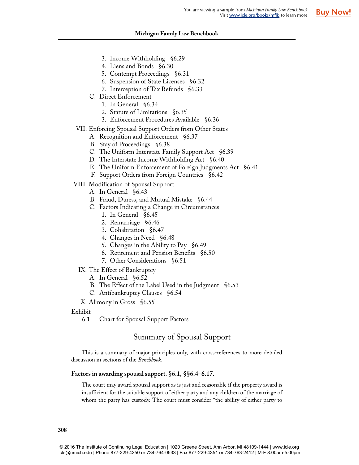## **Michigan Family Law Benchbook**

- 3. Income Withholding §6.29
- 4. Liens and Bonds §6.30
- 5. Contempt Proceedings §6.31
- 6. Suspension of State Licenses §6.32
- 7. Interception of Tax Refunds §6.33
- C. Direct Enforcement
	- 1. In General §6.34
	- 2. Statute of Limitations §6.35
	- 3. Enforcement Procedures Available §6.36
- VII. Enforcing Spousal Support Orders from Other States
	- A. Recognition and Enforcement §6.37
	- B. Stay of Proceedings §6.38
	- C. The Uniform Interstate Family Support Act §6.39
	- D. The Interstate Income Withholding Act §6.40
	- E. The Uniform Enforcement of Foreign Judgments Act §6.41
	- F. Support Orders from Foreign Countries §6.42
- VIII. Modification of Spousal Support
	- A. In General §6.43
	- B. Fraud, Duress, and Mutual Mistake §6.44
	- C. Factors Indicating a Change in Circumstances
		- 1. In General §6.45
		- 2. Remarriage §6.46
		- 3. Cohabitation §6.47
		- 4. Changes in Need §6.48
		- 5. Changes in the Ability to Pay §6.49
		- 6. Retirement and Pension Benefits §6.50
		- 7. Other Considerations §6.51
	- IX. The Effect of Bankruptcy
		- A. In General §6.52
		- B. The Effect of the Label Used in the Judgment §6.53
		- C. Antibankruptcy Clauses §6.54

X. Alimony in Gross §6.55

Exhibit

6.1 Chart for Spousal Support Factors

## Summary of Spousal Support

This is a summary of major principles only, with cross-references to more detailed discussion in sections of the *Benchbook.*

## **Factors in awarding spousal support. §6.1, §§6.4–6.17.**

The court may award spousal support as is just and reasonable if the property award is insufficient for the suitable support of either party and any children of the marriage of whom the party has custody. The court must consider "the ability of either party to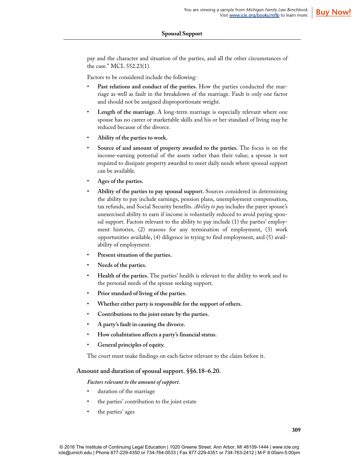pay and the character and situation of the parties, and all the other circumstances of the case." MCL 552.23(1).

Factors to be considered include the following:

- Past relations and conduct of the parties. How the parties conducted the marriage as well as fault in the breakdown of the marriage. Fault is only one factor and should not be assigned disproportionate weight.
- Length of the marriage. A long-term marriage is especially relevant where one spouse has no career or marketable skills and his or her standard of living may be reduced because of the divorce.
- **Ability of the parties to work.**
- **Source of and amount of property awarded to the parties.** The focus is on the income-earning potential of the assets rather than their value; a spouse is not required to dissipate property awarded to meet daily needs where spousal support can be available.
- **Ages of the parties.**
- **Ability of the parties to pay spousal support.** Sources considered in determining the ability to pay include earnings, pension plans, unemployment compensation, tax refunds, and Social Security benefits. *Ability to pay* includes the payer spouse's unexercised ability to earn if income is voluntarily reduced to avoid paying spousal support. Factors relevant to the ability to pay include (1) the parties' employment histories, (2) reasons for any termination of employment, (3) work opportunities available, (4) diligence in trying to find employment, and (5) availability of employment.
- **Present situation of the parties.**
- **Needs of the parties.**
- **Health of the parties.** The parties' health is relevant to the ability to work and to the personal needs of the spouse seeking support.
- **Prior standard of living of the parties.**
- **Whether either party is responsible for the support of others.**
- **Contributions to the joint estate by the parties.**
- **A party's fault in causing the divorce.**
- **How cohabitation affects a party's financial status.**
- **General principles of equity.**

The court must make findings on each factor relevant to the claim before it.

## **Amount and duration of spousal support. §§6.18–6.20.**

*Factors relevant to the amount of support.*

- duration of the marriage
- the parties' contribution to the joint estate
- the parties' ages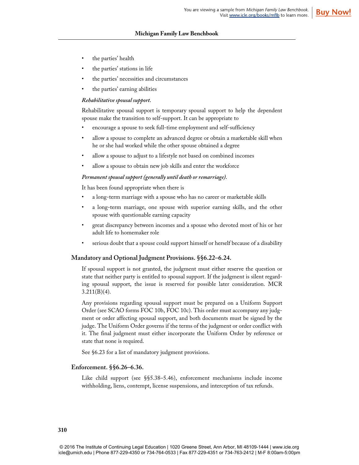## **Michigan Family Law Benchbook**

- the parties' health
- the parties' stations in life
- the parties' necessities and circumstances
- the parties' earning abilities

#### *Rehabilitative spousal support.*

Rehabilitative spousal support is temporary spousal support to help the dependent spouse make the transition to self-support. It can be appropriate to

- encourage a spouse to seek full-time employment and self-sufficiency
- allow a spouse to complete an advanced degree or obtain a marketable skill when he or she had worked while the other spouse obtained a degree
- allow a spouse to adjust to a lifestyle not based on combined incomes
- allow a spouse to obtain new job skills and enter the workforce

#### *Permanent spousal support (generally until death or remarriage).*

It has been found appropriate when there is

- a long-term marriage with a spouse who has no career or marketable skills
- a long-term marriage, one spouse with superior earning skills, and the other spouse with questionable earning capacity
- great discrepancy between incomes and a spouse who devoted most of his or her adult life to homemaker role
- serious doubt that a spouse could support himself or herself because of a disability

#### **Mandatory and Optional Judgment Provisions. §§6.22–6.24.**

If spousal support is not granted, the judgment must either reserve the question or state that neither party is entitled to spousal support. If the judgment is silent regarding spousal support, the issue is reserved for possible later consideration. MCR  $3.211(B)(4)$ .

Any provisions regarding spousal support must be prepared on a Uniform Support Order (see SCAO forms FOC 10b, FOC 10c). This order must accompany any judgment or order affecting spousal support, and both documents must be signed by the judge. The Uniform Order governs if the terms of the judgment or order conflict with it. The final judgment must either incorporate the Uniform Order by reference or state that none is required.

See §6.23 for a list of mandatory judgment provisions.

#### **Enforcement. §§6.26–6.36.**

Like child support (see §§5.38–5.46), enforcement mechanisms include income withholding, liens, contempt, license suspensions, and interception of tax refunds.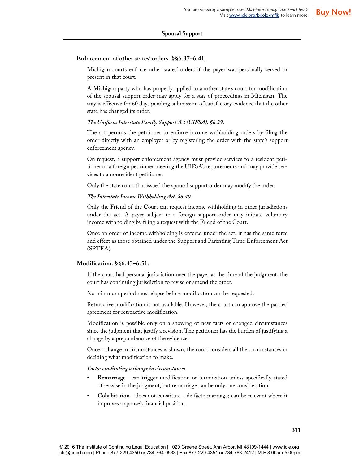## **Enforcement of other states' orders. §§6.37–6.41.**

Michigan courts enforce other states' orders if the payer was personally served or present in that court.

A Michigan party who has properly applied to another state's court for modification of the spousal support order may apply for a stay of proceedings in Michigan. The stay is effective for 60 days pending submission of satisfactory evidence that the other state has changed its order.

## *The Uniform Interstate Family Support Act (UIFSA). §6.39.*

The act permits the petitioner to enforce income withholding orders by filing the order directly with an employer or by registering the order with the state's support enforcement agency.

On request, a support enforcement agency must provide services to a resident petitioner or a foreign petitioner meeting the UIFSA's requirements and may provide services to a nonresident petitioner.

Only the state court that issued the spousal support order may modify the order.

## *The Interstate Income Withholding Act. §6.40.*

Only the Friend of the Court can request income withholding in other jurisdictions under the act. A payer subject to a foreign support order may initiate voluntary income withholding by filing a request with the Friend of the Court.

Once an order of income withholding is entered under the act, it has the same force and effect as those obtained under the Support and Parenting Time Enforcement Act (SPTEA).

## **Modification. §§6.43–6.51.**

If the court had personal jurisdiction over the payer at the time of the judgment, the court has continuing jurisdiction to revise or amend the order.

No minimum period must elapse before modification can be requested.

Retroactive modification is not available. However, the court can approve the parties' agreement for retroactive modification.

Modification is possible only on a showing of new facts or changed circumstances since the judgment that justify a revision. The petitioner has the burden of justifying a change by a preponderance of the evidence.

Once a change in circumstances is shown, the court considers all the circumstances in deciding what modification to make.

*Factors indicating a change in circumstances.*

- **Remarriage**—can trigger modification or termination unless specifically stated otherwise in the judgment, but remarriage can be only one consideration.
- **Cohabitation**—does not constitute a de facto marriage; can be relevant where it improves a spouse's financial position.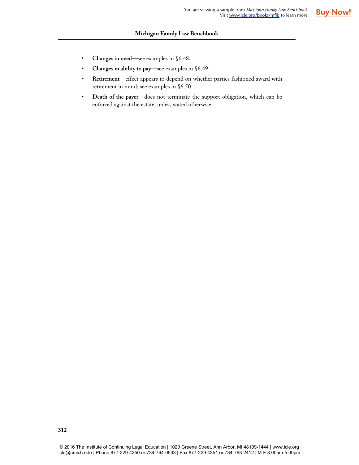- **Changes in need**—see examples in §6.48.
- **Changes in ability to pay**—see examples in §6.49.
- **Retirement**—effect appears to depend on whether parties fashioned award with retirement in mind; see examples in §6.50.
- **Death of the payer**—does not terminate the support obligation, which can be enforced against the estate, unless stated otherwise.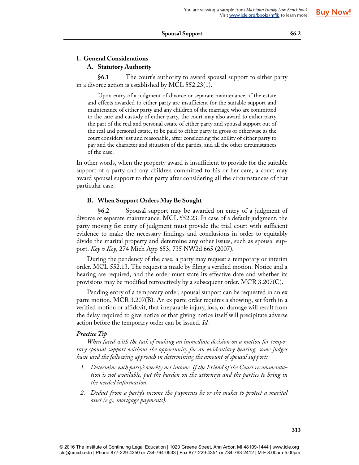## **I. General Considerations A. Statutory Authority**

**§6.1** The court's authority to award spousal support to either party in a divorce action is established by MCL 552.23(1).

Upon entry of a judgment of divorce or separate maintenance, if the estate and effects awarded to either party are insufficient for the suitable support and maintenance of either party and any children of the marriage who are committed to the care and custody of either party, the court may also award to either party the part of the real and personal estate of either party and spousal support out of the real and personal estate, to be paid to either party in gross or otherwise as the court considers just and reasonable, after considering the ability of either party to pay and the character and situation of the parties, and all the other circumstances of the case.

In other words, when the property award is insufficient to provide for the suitable support of a party and any children committed to his or her care, a court may award spousal support to that party after considering all the circumstances of that particular case.

## **B. When Support Orders May Be Sought**

**§6.2** Spousal support may be awarded on entry of a judgment of divorce or separate maintenance. MCL 552.23. In case of a default judgment, the party moving for entry of judgment must provide the trial court with sufficient evidence to make the necessary findings and conclusions in order to equitably divide the marital property and determine any other issues, such as spousal support. *Koy v Koy*, 274 Mich App 653, 735 NW2d 665 (2007).

During the pendency of the case, a party may request a temporary or interim order. MCL 552.13. The request is made by filing a verified motion. Notice and a hearing are required, and the order must state its effective date and whether its provisions may be modified retroactively by a subsequent order. MCR 3.207(C).

Pending entry of a temporary order, spousal support can be requested in an ex parte motion. MCR 3.207(B). An ex parte order requires a showing, set forth in a verified motion or affidavit, that irreparable injury, loss, or damage will result from the delay required to give notice or that giving notice itself will precipitate adverse action before the temporary order can be issued. *Id.*

## *Practice Tip*

*When faced with the task of making an immediate decision on a motion for temporary spousal support without the opportunity for an evidentiary hearing, some judges have used the following approach in determining the amount of spousal support:*

- *1. Determine each party's weekly net income. If the Friend of the Court recommendation is not available, put the burden on the attorneys and the parties to bring in the needed information.*
- *2. Deduct from a party's income the payments he or she makes to protect a marital asset (e.g., mortgage payments).*